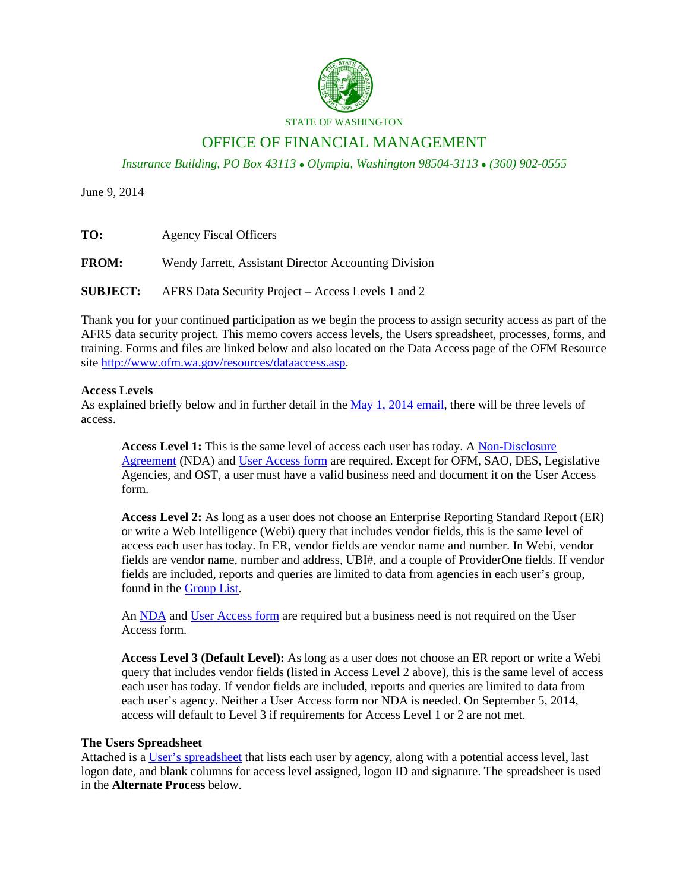

#### STATE OF WASHINGTON

# OFFICE OF FINANCIAL MANAGEMENT

*Insurance Building, PO Box 43113 Olympia, Washington 98504-3113 (360) 902-0555*

June 9, 2014

| TO:             | <b>Agency Fiscal Officers</b>                         |
|-----------------|-------------------------------------------------------|
| <b>FROM:</b>    | Wendy Jarrett, Assistant Director Accounting Division |
| <b>SUBJECT:</b> | AFRS Data Security Project – Access Levels 1 and 2    |

Thank you for your continued participation as we begin the process to assign security access as part of the AFRS data security project. This memo covers access levels, the Users spreadsheet, processes, forms, and training. Forms and files are linked below and also located on the Data Access page of the OFM Resource site [http://www.ofm.wa.gov/resources/dataaccess.asp.](http://www.ofm.wa.gov/resources/dataaccess.asp)

## **Access Levels**

As explained briefly below and in further detail in the [May 1, 2014](http://www.ofm.wa.gov/resources/data_access/DA_Letter_to_Fiscal_Officers_5.1.14.pdf) email, there will be three levels of access.

**Access Level 1:** This is the same level of access each user has today. A [Non-Disclosure](http://www.ofm.wa.gov/resources/data_access/DA_ER_Security_NDA.pdf)  [Agreement](http://www.ofm.wa.gov/resources/data_access/DA_ER_Security_NDA.pdf) (NDA) and [User Access form](http://www.ofm.wa.gov/resources/data_access/DA_ER_Access_Form_ER_Users.pdf) are required. Except for OFM, SAO, DES, Legislative Agencies, and OST, a user must have a valid business need and document it on the User Access form.

**Access Level 2:** As long as a user does not choose an Enterprise Reporting Standard Report (ER) or write a Web Intelligence (Webi) query that includes vendor fields, this is the same level of access each user has today. In ER, vendor fields are vendor name and number. In Webi, vendor fields are vendor name, number and address, UBI#, and a couple of ProviderOne fields. If vendor fields are included, reports and queries are limited to data from agencies in each user's group, found in the [Group List.](http://www.ofm.wa.gov/resources/data_access/DA_Access_Levels_Groups.xlsx)

An [NDA](http://www.ofm.wa.gov/resources/data_access/DA_ER_Security_NDA.pdf) and [User Access form](http://www.ofm.wa.gov/resources/data_access/DA_ER_Access_Form_ER_Users.pdf) are required but a business need is not required on the User Access form.

**Access Level 3 (Default Level):** As long as a user does not choose an ER report or write a Webi query that includes vendor fields (listed in Access Level 2 above), this is the same level of access each user has today. If vendor fields are included, reports and queries are limited to data from each user's agency. Neither a User Access form nor NDA is needed. On September 5, 2014, access will default to Level 3 if requirements for Access Level 1 or 2 are not met.

#### **The Users Spreadsheet**

Attached is a User's [spreadsheet](http://www.ofm.wa.gov/resources/data_access/DA_ER_Users_List.xlsx) that lists each user by agency, along with a potential access level, last logon date, and blank columns for access level assigned, logon ID and signature. The spreadsheet is used in the **Alternate Process** below.